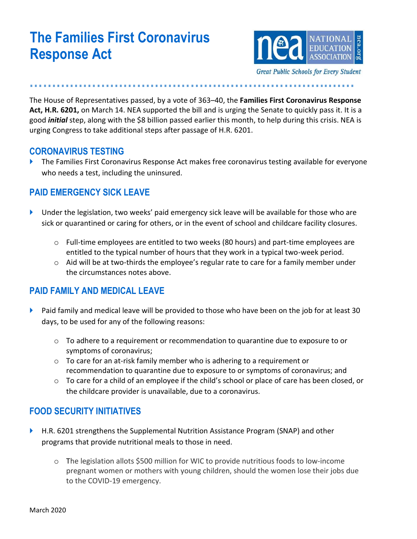# **The Families First Coronavirus Response Act**



**………………………………………………………….……**

The House of Representatives passed, by a vote of 363–40, the **Families First Coronavirus Response Act, H.R. 6201,** on March 14. NEA supported the bill and is urging the Senate to quickly pass it. It is a good *initial* step, along with the \$8 billion passed earlier this month, to help during this crisis. NEA is urging Congress to take additional steps after passage of H.R. 6201.

#### **CORONAVIRUS TESTING**

 The Families First Coronavirus Response Act makes free coronavirus testing available for everyone who needs a test, including the uninsured.

#### **PAID EMERGENCY SICK LEAVE**

- Under the legislation, two weeks' paid emergency sick leave will be available for those who are sick or quarantined or caring for others, or in the event of school and childcare facility closures.
	- o Full-time employees are entitled to two weeks (80 hours) and part-time employees are entitled to the typical number of hours that they work in a typical two-week period.
	- $\circ$  Aid will be at two-thirds the employee's regular rate to care for a family member under the circumstances notes above.

#### **PAID FAMILY AND MEDICAL LEAVE**

- $\blacktriangleright$  Paid family and medical leave will be provided to those who have been on the job for at least 30 days, to be used for any of the following reasons:
	- $\circ$  To adhere to a requirement or recommendation to quarantine due to exposure to or symptoms of coronavirus;
	- $\circ$  To care for an at-risk family member who is adhering to a requirement or recommendation to quarantine due to exposure to or symptoms of coronavirus; and
	- $\circ$  To care for a child of an employee if the child's school or place of care has been closed, or the childcare provider is unavailable, due to a coronavirus.

#### **FOOD SECURITY INITIATIVES**

- ▶ H.R. 6201 strengthens the Supplemental Nutrition Assistance Program (SNAP) and other programs that provide nutritional meals to those in need.
	- o The legislation allots \$500 million for WIC to provide nutritious foods to low-income pregnant women or mothers with young children, should the women lose their jobs due to the COVID-19 emergency.